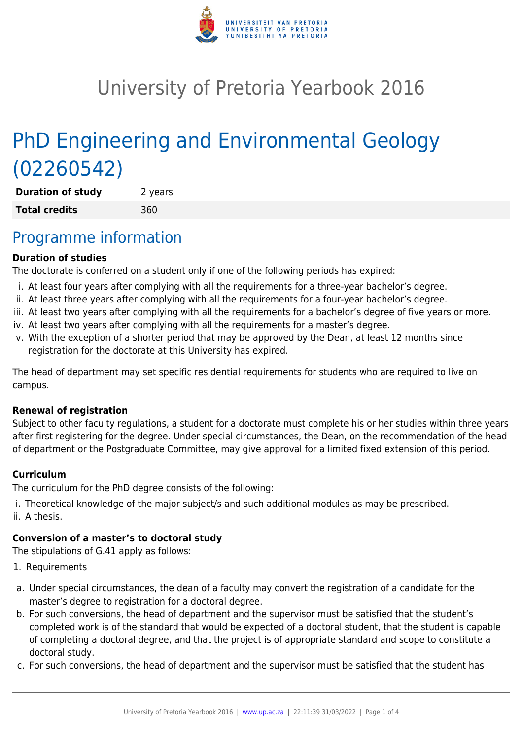

# University of Pretoria Yearbook 2016

# PhD Engineering and Environmental Geology (02260542)

**Duration of study** 2 years **Total credits** 360

## Programme information

#### **Duration of studies**

The doctorate is conferred on a student only if one of the following periods has expired:

- i. At least four years after complying with all the requirements for a three-year bachelor's degree.
- ii. At least three years after complying with all the requirements for a four-year bachelor's degree.
- iii. At least two years after complying with all the requirements for a bachelor's degree of five years or more.
- iv. At least two years after complying with all the requirements for a master's degree.
- v. With the exception of a shorter period that may be approved by the Dean, at least 12 months since registration for the doctorate at this University has expired.

The head of department may set specific residential requirements for students who are required to live on campus.

#### **Renewal of registration**

Subject to other faculty regulations, a student for a doctorate must complete his or her studies within three years after first registering for the degree. Under special circumstances, the Dean, on the recommendation of the head of department or the Postgraduate Committee, may give approval for a limited fixed extension of this period.

#### **Curriculum**

The curriculum for the PhD degree consists of the following:

- i. Theoretical knowledge of the major subject/s and such additional modules as may be prescribed.
- ii. A thesis.

### **Conversion of a master's to doctoral study**

The stipulations of G.41 apply as follows:

- 1. Requirements
- a. Under special circumstances, the dean of a faculty may convert the registration of a candidate for the master's degree to registration for a doctoral degree.
- b. For such conversions, the head of department and the supervisor must be satisfied that the student's completed work is of the standard that would be expected of a doctoral student, that the student is capable of completing a doctoral degree, and that the project is of appropriate standard and scope to constitute a doctoral study.
- c. For such conversions, the head of department and the supervisor must be satisfied that the student has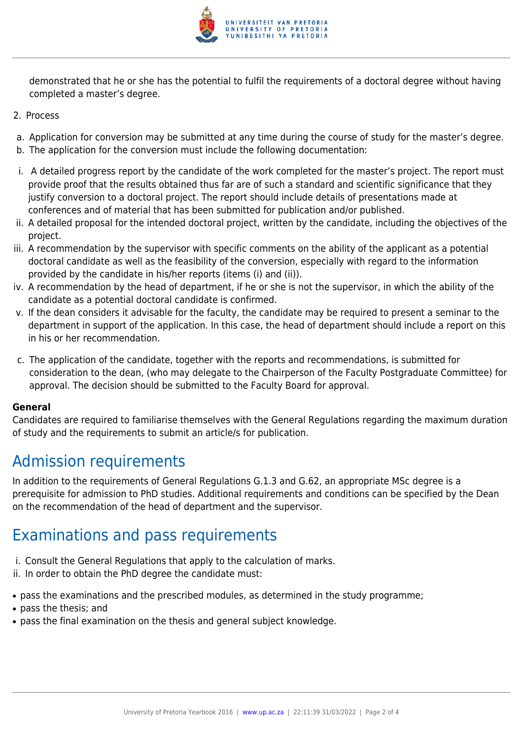

demonstrated that he or she has the potential to fulfil the requirements of a doctoral degree without having completed a master's degree.

- 2. Process
- a. Application for conversion may be submitted at any time during the course of study for the master's degree.
- b. The application for the conversion must include the following documentation:
- i. A detailed progress report by the candidate of the work completed for the master's project. The report must provide proof that the results obtained thus far are of such a standard and scientific significance that they justify conversion to a doctoral project. The report should include details of presentations made at conferences and of material that has been submitted for publication and/or published.
- ii. A detailed proposal for the intended doctoral project, written by the candidate, including the objectives of the project.
- iii. A recommendation by the supervisor with specific comments on the ability of the applicant as a potential doctoral candidate as well as the feasibility of the conversion, especially with regard to the information provided by the candidate in his/her reports (items (i) and (ii)).
- iv. A recommendation by the head of department, if he or she is not the supervisor, in which the ability of the candidate as a potential doctoral candidate is confirmed.
- v. If the dean considers it advisable for the faculty, the candidate may be required to present a seminar to the department in support of the application. In this case, the head of department should include a report on this in his or her recommendation.
- c. The application of the candidate, together with the reports and recommendations, is submitted for consideration to the dean, (who may delegate to the Chairperson of the Faculty Postgraduate Committee) for approval. The decision should be submitted to the Faculty Board for approval.

#### **General**

Candidates are required to familiarise themselves with the General Regulations regarding the maximum duration of study and the requirements to submit an article/s for publication.

# Admission requirements

In addition to the requirements of General Regulations G.1.3 and G.62, an appropriate MSc degree is a prerequisite for admission to PhD studies. Additional requirements and conditions can be specified by the Dean on the recommendation of the head of department and the supervisor.

# Examinations and pass requirements

- i. Consult the General Regulations that apply to the calculation of marks.
- ii. In order to obtain the PhD degree the candidate must:
- pass the examinations and the prescribed modules, as determined in the study programme;
- pass the thesis; and
- pass the final examination on the thesis and general subject knowledge.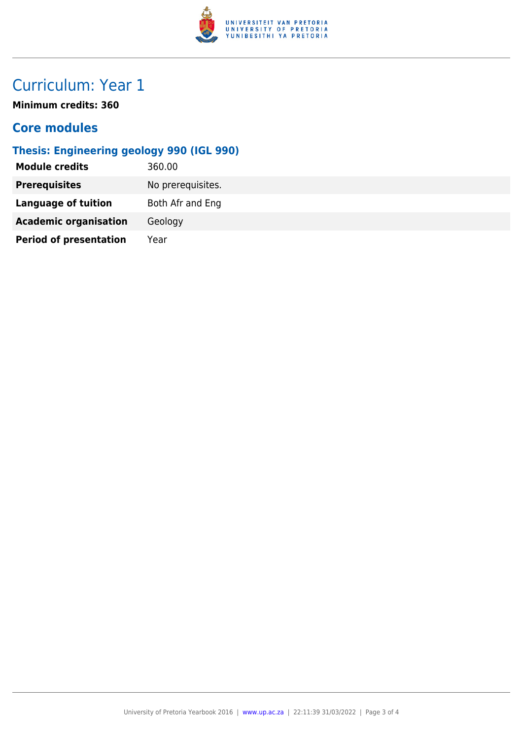

# Curriculum: Year 1

**Minimum credits: 360**

### **Core modules**

### **Thesis: Engineering geology 990 (IGL 990)**

| <b>Module credits</b>         | 360.00            |
|-------------------------------|-------------------|
| <b>Prerequisites</b>          | No prerequisites. |
| <b>Language of tuition</b>    | Both Afr and Eng  |
| <b>Academic organisation</b>  | Geology           |
| <b>Period of presentation</b> | Year              |